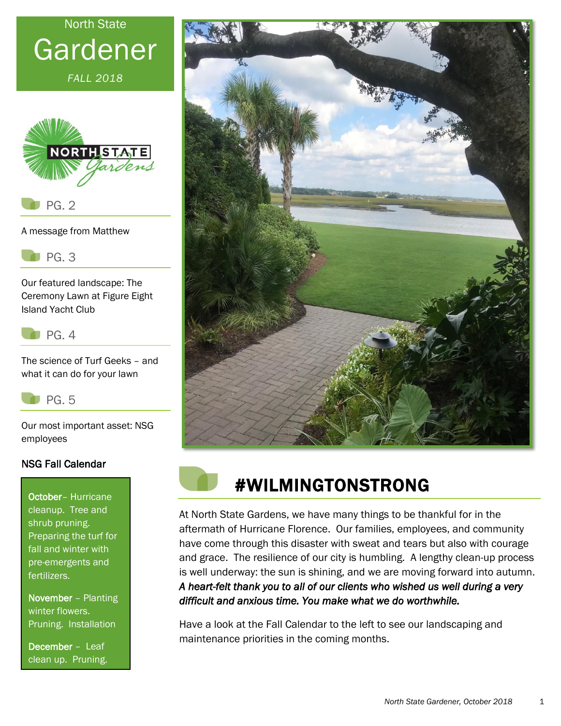# North State Gardener

*FALL 2018*



A message from Matthew

PG. 3

Our featured landscape: The Ceremony Lawn at Figure Eight Island Yacht Club



The science of Turf Geeks – and what it can do for your lawn



Our most important asset: NSG employees

#### NSG Fall Calendar

October– Hurricane cleanup. Tree and shrub pruning. Preparing the turf for fall and winter with pre-emergents and fertilizers.

November – Planting winter flowers. Pruning. Installation

December – Leaf clean up. Pruning.





# #WILMINGTONSTRONG

At North State Gardens, we have many things to be thankful for in the aftermath of Hurricane Florence. Our families, employees, and community have come through this disaster with sweat and tears but also with courage and grace. The resilience of our city is humbling. A lengthy clean-up process is well underway: the sun is shining, and we are moving forward into autumn. *A heart-felt thank you to all of our clients who wished us well during a very difficult and anxious time. You make what we do worthwhile.*

Have a look at the Fall Calendar to the left to see our landscaping and maintenance priorities in the coming months.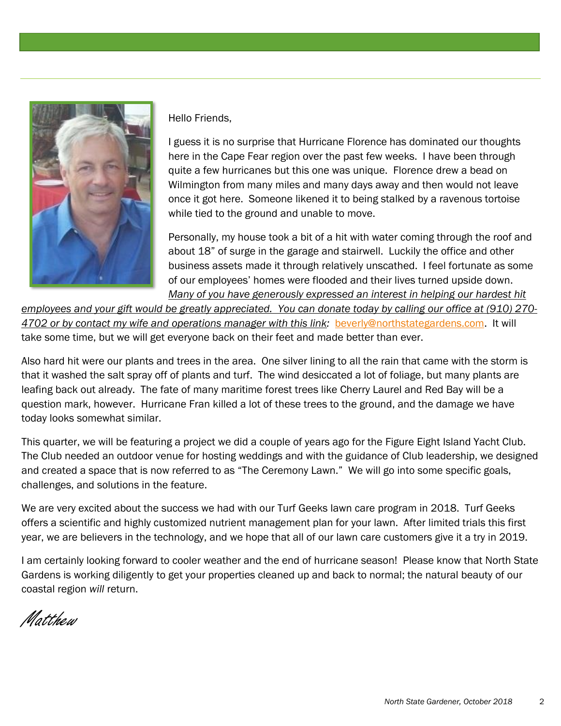

Hello Friends,

I guess it is no surprise that Hurricane Florence has dominated our thoughts here in the Cape Fear region over the past few weeks. I have been through quite a few hurricanes but this one was unique. Florence drew a bead on Wilmington from many miles and many days away and then would not leave once it got here. Someone likened it to being stalked by a ravenous tortoise while tied to the ground and unable to move.

Personally, my house took a bit of a hit with water coming through the roof and about 18" of surge in the garage and stairwell. Luckily the office and other business assets made it through relatively unscathed. I feel fortunate as some of our employees' homes were flooded and their lives turned upside down. *Many of you have generously expressed an interest in helping our hardest hit* 

*employees and your gift would be greatly appreciated. You can donate today by calling our office at (910) 270- 4702 or by contact my wife and operations manager with this link:* [beverly@northstategardens.com.](mailto:beverly@northstategardens.com) It will take some time, but we will get everyone back on their feet and made better than ever.

Also hard hit were our plants and trees in the area. One silver lining to all the rain that came with the storm is that it washed the salt spray off of plants and turf. The wind desiccated a lot of foliage, but many plants are leafing back out already. The fate of many maritime forest trees like Cherry Laurel and Red Bay will be a question mark, however. Hurricane Fran killed a lot of these trees to the ground, and the damage we have today looks somewhat similar.

This quarter, we will be featuring a project we did a couple of years ago for the Figure Eight Island Yacht Club. The Club needed an outdoor venue for hosting weddings and with the guidance of Club leadership, we designed and created a space that is now referred to as "The Ceremony Lawn." We will go into some specific goals, challenges, and solutions in the feature.

We are very excited about the success we had with our Turf Geeks lawn care program in 2018. Turf Geeks offers a scientific and highly customized nutrient management plan for your lawn. After limited trials this first year, we are believers in the technology, and we hope that all of our lawn care customers give it a try in 2019.

I am certainly looking forward to cooler weather and the end of hurricane season! Please know that North State Gardens is working diligently to get your properties cleaned up and back to normal; the natural beauty of our coastal region *will* return.

Matthew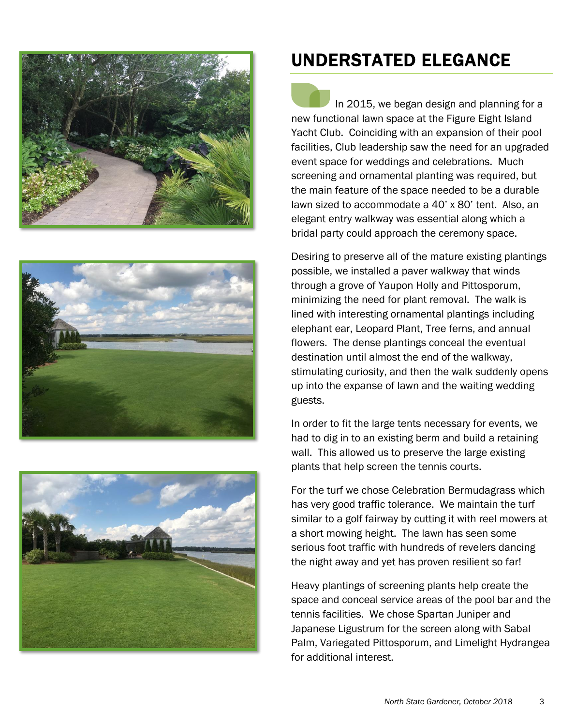





## UNDERSTATED ELEGANCE

 In 2015, we began design and planning for a new functional lawn space at the Figure Eight Island Yacht Club. Coinciding with an expansion of their pool facilities, Club leadership saw the need for an upgraded event space for weddings and celebrations. Much screening and ornamental planting was required, but the main feature of the space needed to be a durable lawn sized to accommodate a 40' x 80' tent. Also, an elegant entry walkway was essential along which a bridal party could approach the ceremony space.

Desiring to preserve all of the mature existing plantings possible, we installed a paver walkway that winds through a grove of Yaupon Holly and Pittosporum, minimizing the need for plant removal. The walk is lined with interesting ornamental plantings including elephant ear, Leopard Plant, Tree ferns, and annual flowers. The dense plantings conceal the eventual destination until almost the end of the walkway, stimulating curiosity, and then the walk suddenly opens up into the expanse of lawn and the waiting wedding guests.

In order to fit the large tents necessary for events, we had to dig in to an existing berm and build a retaining wall. This allowed us to preserve the large existing plants that help screen the tennis courts.

For the turf we chose Celebration Bermudagrass which has very good traffic tolerance. We maintain the turf similar to a golf fairway by cutting it with reel mowers at a short mowing height. The lawn has seen some serious foot traffic with hundreds of revelers dancing the night away and yet has proven resilient so far!

Heavy plantings of screening plants help create the space and conceal service areas of the pool bar and the tennis facilities. We chose Spartan Juniper and Japanese Ligustrum for the screen along with Sabal Palm, Variegated Pittosporum, and Limelight Hydrangea for additional interest.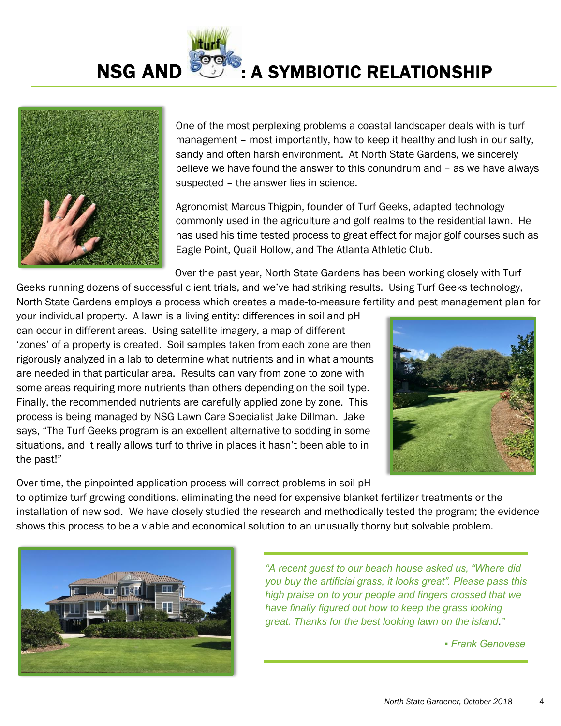**NSG AND STRIP : A SYMBIOTIC RELATIONSHIP** 



One of the most perplexing problems a coastal landscaper deals with is turf management – most importantly, how to keep it healthy and lush in our salty, sandy and often harsh environment. At North State Gardens, we sincerely believe we have found the answer to this conundrum and – as we have always suspected – the answer lies in science.

Agronomist Marcus Thigpin, founder of Turf Geeks, adapted technology commonly used in the agriculture and golf realms to the residential lawn. He has used his time tested process to great effect for major golf courses such as Eagle Point, Quail Hollow, and The Atlanta Athletic Club.

Over the past year, North State Gardens has been working closely with Turf

Geeks running dozens of successful client trials, and we've had striking results. Using Turf Geeks technology, North State Gardens employs a process which creates a made-to-measure fertility and pest management plan for

your individual property. A lawn is a living entity: differences in soil and pH can occur in different areas. Using satellite imagery, a map of different 'zones' of a property is created. Soil samples taken from each zone are then rigorously analyzed in a lab to determine what nutrients and in what amounts are needed in that particular area. Results can vary from zone to zone with some areas requiring more nutrients than others depending on the soil type. Finally, the recommended nutrients are carefully applied zone by zone. This process is being managed by NSG Lawn Care Specialist Jake Dillman. Jake says, "The Turf Geeks program is an excellent alternative to sodding in some situations, and it really allows turf to thrive in places it hasn't been able to in the past!"



Over time, the pinpointed application process will correct problems in soil pH to optimize turf growing conditions, eliminating the need for expensive blanket fertilizer treatments or the installation of new sod. We have closely studied the research and methodically tested the program; the evidence shows this process to be a viable and economical solution to an unusually thorny but solvable problem.



*"A recent guest to our beach house asked us, "Where did you buy the artificial grass, it looks great". Please pass this high praise on to your people and fingers crossed that we have finally figured out how to keep the grass looking great. Thanks for the best looking lawn on the island*.*"* 

 *▪ Frank Genovese*